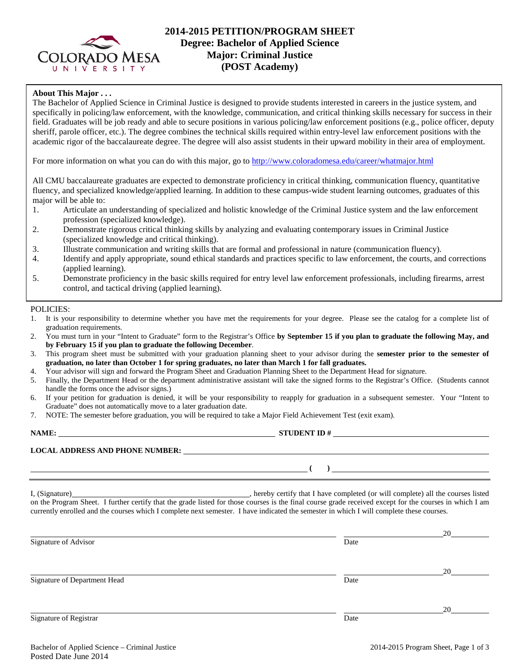

# **2014-2015 PETITION/PROGRAM SHEET Degree: Bachelor of Applied Science Major: Criminal Justice (POST Academy)**

## **About This Major . . .**

The Bachelor of Applied Science in Criminal Justice is designed to provide students interested in careers in the justice system, and specifically in policing/law enforcement, with the knowledge, communication, and critical thinking skills necessary for success in their field. Graduates will be job ready and able to secure positions in various policing/law enforcement positions (e.g., police officer, deputy sheriff, parole officer, etc.). The degree combines the technical skills required within entry-level law enforcement positions with the academic rigor of the baccalaureate degree. The degree will also assist students in their upward mobility in their area of employment.

For more information on what you can do with this major, go t[o http://www.coloradomesa.edu/career/whatmajor.html](http://www.coloradomesa.edu/career/whatmajor.html)

All CMU baccalaureate graduates are expected to demonstrate proficiency in critical thinking, communication fluency, quantitative fluency, and specialized knowledge/applied learning. In addition to these campus-wide student learning outcomes, graduates of this major will be able to:

- 1. Articulate an understanding of specialized and holistic knowledge of the Criminal Justice system and the law enforcement profession (specialized knowledge).
- 2. Demonstrate rigorous critical thinking skills by analyzing and evaluating contemporary issues in Criminal Justice (specialized knowledge and critical thinking).
- 3. Illustrate communication and writing skills that are formal and professional in nature (communication fluency).
- 4. Identify and apply appropriate, sound ethical standards and practices specific to law enforcement, the courts, and corrections (applied learning).
- 5. Demonstrate proficiency in the basic skills required for entry level law enforcement professionals, including firearms, arrest control, and tactical driving (applied learning).

POLICIES:

- 1. It is your responsibility to determine whether you have met the requirements for your degree. Please see the catalog for a complete list of graduation requirements.
- 2. You must turn in your "Intent to Graduate" form to the Registrar's Office **by September 15 if you plan to graduate the following May, and by February 15 if you plan to graduate the following December**.
- 3. This program sheet must be submitted with your graduation planning sheet to your advisor during the **semester prior to the semester of graduation, no later than October 1 for spring graduates, no later than March 1 for fall graduates.**
- 4. Your advisor will sign and forward the Program Sheet and Graduation Planning Sheet to the Department Head for signature.
- 5. Finally, the Department Head or the department administrative assistant will take the signed forms to the Registrar's Office. (Students cannot handle the forms once the advisor signs.)
- 6. If your petition for graduation is denied, it will be your responsibility to reapply for graduation in a subsequent semester. Your "Intent to Graduate" does not automatically move to a later graduation date.
- 7. NOTE: The semester before graduation, you will be required to take a Major Field Achievement Test (exit exam).

# **NAME: STUDENT ID #**

**( )** 

#### **LOCAL ADDRESS AND PHONE NUMBER:**

I, (Signature) hereby certify that I have completed (or will complete) all the courses listed on the Program Sheet. I further certify that the grade listed for those courses is the final course grade received except for the courses in which I am currently enrolled and the courses which I complete next semester. I have indicated the semester in which I will complete these courses.

| Signature of Advisor         | Date | 20 |
|------------------------------|------|----|
| Signature of Department Head | Date | 20 |
| Signature of Registrar       | Date | 20 |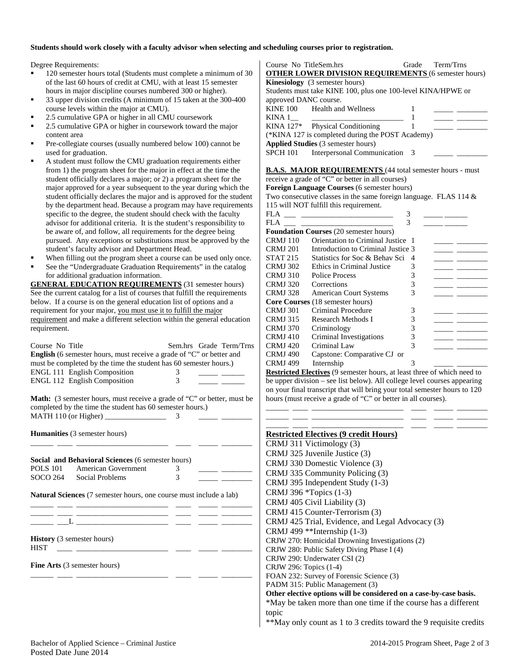### **Students should work closely with a faculty advisor when selecting and scheduling courses prior to registration.**

Degree Requirements:

- 120 semester hours total (Students must complete a minimum of 30 of the last 60 hours of credit at CMU, with at least 15 semester hours in major discipline courses numbered 300 or higher).
- 33 upper division credits (A minimum of 15 taken at the 300-400 course levels within the major at CMU).
- 2.5 cumulative GPA or higher in all CMU coursework
- 2.5 cumulative GPA or higher in coursework toward the major content area
- Pre-collegiate courses (usually numbered below 100) cannot be used for graduation.
- A student must follow the CMU graduation requirements either from 1) the program sheet for the major in effect at the time the student officially declares a major; or 2) a program sheet for the major approved for a year subsequent to the year during which the student officially declares the major and is approved for the student by the department head. Because a program may have requirements specific to the degree, the student should check with the faculty advisor for additional criteria. It is the student's responsibility to be aware of, and follow, all requirements for the degree being pursued. Any exceptions or substitutions must be approved by the student's faculty advisor and Department Head.
- When filling out the program sheet a course can be used only once.
- See the "Undergraduate Graduation Requirements" in the catalog for additional graduation information.

**GENERAL EDUCATION REQUIREMENTS** (31 semester hours) See the current catalog for a list of courses that fulfill the requirements below. If a course is on the general education list of options and a requirement for your major, you must use it to fulfill the major requirement and make a different selection within the general education requirement.

| Course No Title | English (6 semester hours, must receive a grade of "C" or better and                                                                        |   | Sem.hrs Grade Term/Trns                                                                                                     |
|-----------------|---------------------------------------------------------------------------------------------------------------------------------------------|---|-----------------------------------------------------------------------------------------------------------------------------|
|                 |                                                                                                                                             |   |                                                                                                                             |
|                 | must be completed by the time the student has 60 semester hours.)                                                                           |   |                                                                                                                             |
|                 | <b>ENGL 111 English Composition</b>                                                                                                         | 3 | <u> De Carlos de Carlos de Carlos de Carlos de Carlos de Carlos de Carlos de Carlos de Carlos de Carlos de Carlos de Ca</u> |
|                 | ENGL 112 English Composition                                                                                                                | 3 |                                                                                                                             |
|                 | <b>Math:</b> (3 semester hours, must receive a grade of "C" or better, must be<br>completed by the time the student has 60 semester hours.) |   |                                                                                                                             |
|                 | <b>Humanities</b> (3 semester hours)                                                                                                        |   |                                                                                                                             |
|                 | Social and Behavioral Sciences (6 semester hours)                                                                                           |   |                                                                                                                             |
|                 | POLS 101 American Government                                                                                                                | 3 | <u> 1989 - John Barn Barn, mars a</u>                                                                                       |
|                 | SOCO 264 Social Problems                                                                                                                    | 3 |                                                                                                                             |
|                 | Natural Sciences (7 semester hours, one course must include a lab)                                                                          |   |                                                                                                                             |
|                 |                                                                                                                                             |   |                                                                                                                             |
|                 |                                                                                                                                             |   |                                                                                                                             |
| <b>HIST</b>     | <b>History</b> (3 semester hours)                                                                                                           |   |                                                                                                                             |
|                 |                                                                                                                                             |   |                                                                                                                             |

\_\_\_\_\_\_ \_\_\_\_ \_\_\_\_\_\_\_\_\_\_\_\_\_\_\_\_\_\_\_\_\_\_\_\_ \_\_\_\_ \_\_\_\_\_ \_\_\_\_\_\_\_\_

**Fine Arts** (3 semester hours)

| Course No TitleSem.hrs                           |                                                              |               | Grade Term/Trns |
|--------------------------------------------------|--------------------------------------------------------------|---------------|-----------------|
|                                                  | <b>OTHER LOWER DIVISION REQUIREMENTS (6 semester hours)</b>  |               |                 |
|                                                  | <b>Kinesiology</b> (3 semester hours)                        |               |                 |
|                                                  | Students must take KINE 100, plus one 100-level KINA/HPWE or |               |                 |
| approved DANC course.                            |                                                              |               |                 |
|                                                  | KINE 100 Health and Wellness                                 |               |                 |
| KINA 1                                           |                                                              |               |                 |
|                                                  | $KINA$ 127* Physical Conditioning                            |               |                 |
| (*KINA 127 is completed during the POST Academy) |                                                              |               |                 |
|                                                  | Applied Studies (3 semester hours)                           |               |                 |
|                                                  | SPCH 101 Interpersonal Communication                         | $\mathcal{R}$ |                 |

### **B.A.S. MAJOR REQUIREMENTS** (44 total semester hours - must

receive a grade of "C" or better in all courses)

**Foreign Language Courses** (6 semester hours)

Two consecutive classes in the same foreign language. FLAS 114 & 115 will NOT fulfill this requirement.

| FLA             | 3                                             |   |  |
|-----------------|-----------------------------------------------|---|--|
| FLA             | 3                                             |   |  |
|                 | <b>Foundation Courses</b> (20 semester hours) |   |  |
| <b>CRMJ</b> 110 | Orientation to Criminal Justice 1             |   |  |
| <b>CRMJ 201</b> | Introduction to Criminal Justice 3            |   |  |
| <b>STAT 215</b> | Statistics for Soc & Behav Sci                | 4 |  |
| <b>CRMJ 302</b> | Ethics in Criminal Justice                    | 3 |  |
| <b>CRMJ 310</b> | Police Process                                | 3 |  |
| <b>CRMJ 320</b> | Corrections                                   | 3 |  |
| CRMJ 328        | <b>American Court Systems</b>                 | 3 |  |
|                 | <b>Core Courses</b> (18 semester hours)       |   |  |
| <b>CRMJ 301</b> | Criminal Procedure                            | 3 |  |
| <b>CRMJ 315</b> | Research Methods I                            | 3 |  |
| <b>CRMJ 370</b> | Criminology                                   | 3 |  |
| <b>CRMJ</b> 410 | Criminal Investigations                       | 3 |  |
| <b>CRMJ</b> 420 | Criminal Law                                  | 3 |  |
| CRMJ 490        | Capstone: Comparative CJ or                   |   |  |
| <b>CRMJ 499</b> | Internship                                    | 3 |  |

**Restricted Electives** (9 semester hours, at least three of which need to be upper division – see list below). All college level courses appearing on your final transcript that will bring your total semester hours to 120 hours (must receive a grade of "C" or better in all courses).

\_\_\_\_\_\_ \_\_\_\_ \_\_\_\_\_\_\_\_\_\_\_\_\_\_\_\_\_\_\_\_\_\_\_\_ \_\_\_\_ \_\_\_\_\_ \_\_\_\_\_\_\_\_ \_\_\_\_\_\_ \_\_\_\_ \_\_\_\_\_\_\_\_\_\_\_\_\_\_\_\_\_\_\_\_\_\_\_\_ \_\_\_\_ \_\_\_\_\_ \_\_\_\_\_\_\_\_

| <b>Restricted Electives (9 credit Hours)</b>                       |
|--------------------------------------------------------------------|
| CRMJ 311 Victimology (3)                                           |
| CRMJ 325 Juvenile Justice (3)                                      |
| CRMJ 330 Domestic Violence (3)                                     |
| CRMJ 335 Community Policing (3)                                    |
| CRMJ 395 Independent Study (1-3)                                   |
| CRMJ 396 *Topics (1-3)                                             |
| CRMJ 405 Civil Liability (3)                                       |
| CRMJ 415 Counter-Terrorism (3)                                     |
| CRMJ 425 Trial, Evidence, and Legal Advocacy (3)                   |
| CRMJ 499 **Internship (1-3)                                        |
| CRJW 270: Homicidal Drowning Investigations (2)                    |
| CRJW 280: Public Safety Diving Phase I (4)                         |
| CRJW 290: Underwater CSI (2)                                       |
| CRJW 296: Topics (1-4)                                             |
| FOAN 232: Survey of Forensic Science (3)                           |
| PADM 315: Public Management (3)                                    |
| Other elective options will be considered on a case-by-case basis. |
| *May be taken more than one time if the course has a different     |
| topic                                                              |
| **May only count as 1 to 3 credits toward the 9 requisite credits  |